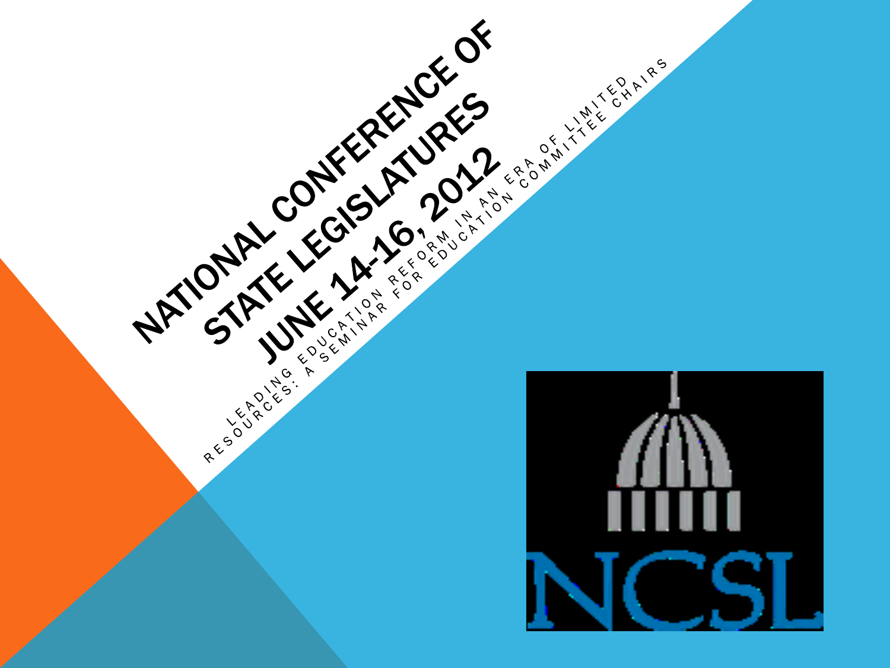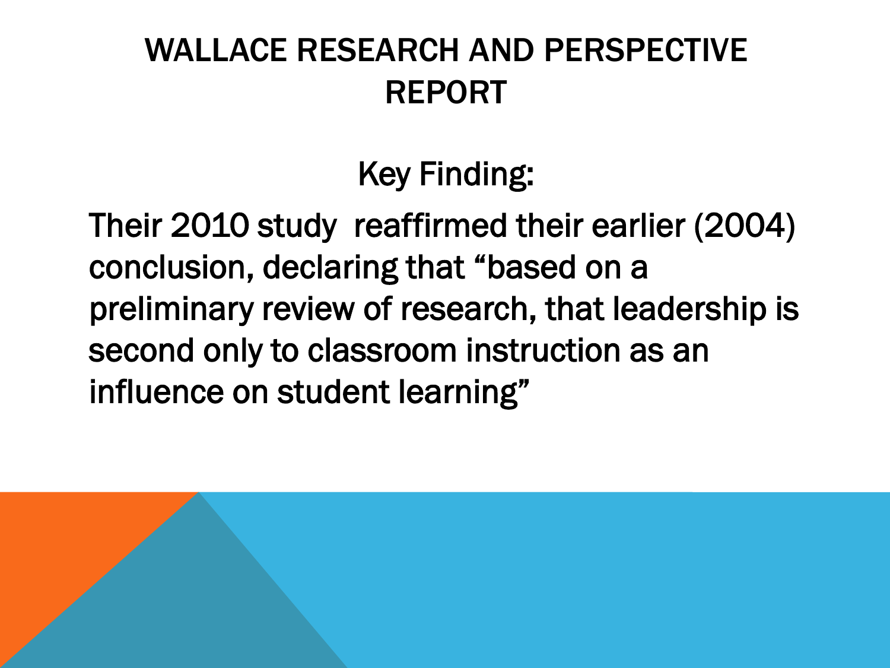#### WALLACE RESEARCH AND PERSPECTIVE REPORT

Key Finding:

Their 2010 study reaffirmed their earlier (2004) conclusion, declaring that "based on a preliminary review of research, that leadership is second only to classroom instruction as an influence on student learning"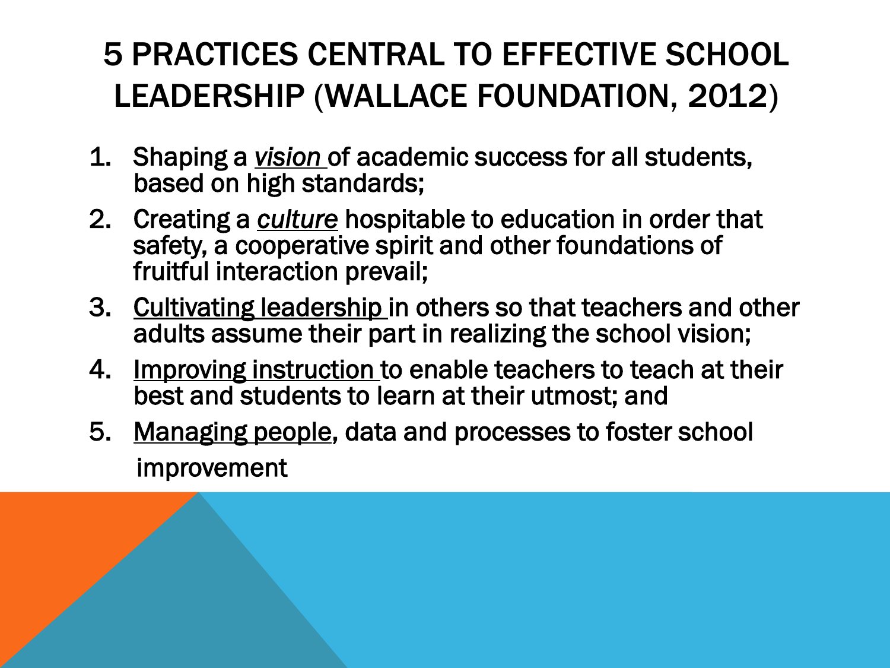### 5 PRACTICES CENTRAL TO EFFECTIVE SCHOOL LEADERSHIP (WALLACE FOUNDATION, 2012)

- 1. Shaping a *vision* of academic success for all students, based on high standards;
- 2. Creating a *culture* hospitable to education in order that safety, a cooperative spirit and other foundations of fruitful interaction prevail;
- 3. Cultivating leadership in others so that teachers and other adults assume their part in realizing the school vision;
- 4. Improving instruction to enable teachers to teach at their best and students to learn at their utmost; and
- 5. Managing people, data and processes to foster school improvement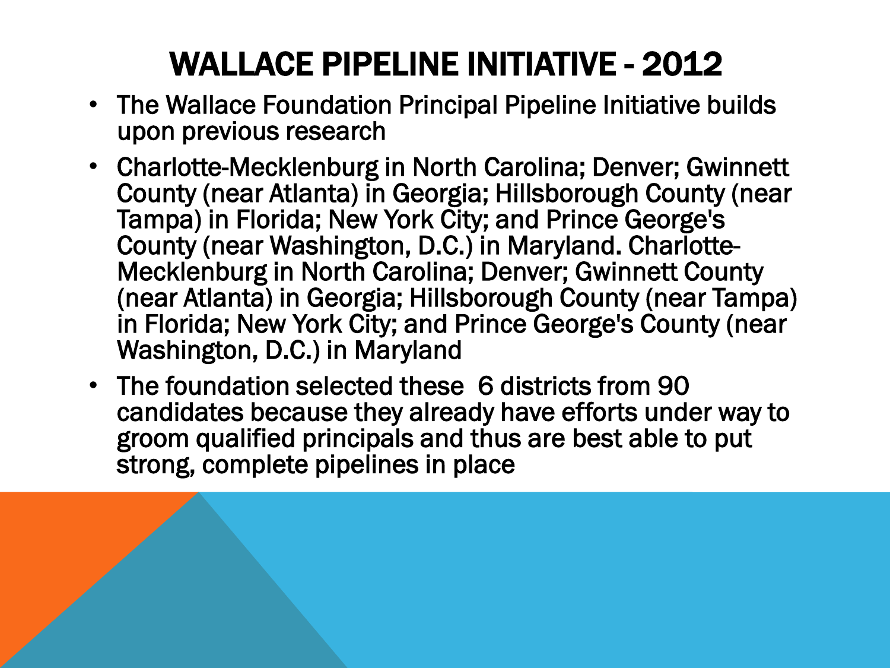# WALLACE PIPELINE INITIATIVE - 2012

- The Wallace Foundation Principal Pipeline Initiative builds upon previous research
- Charlotte-Mecklenburg in North Carolina; Denver; Gwinnett County (near Atlanta) in Georgia; Hillsborough County (near Tampa) in Florida; New York City; and Prince George's County (near Washington, D.C.) in Maryland. Charlotte-Mecklenburg in North Carolina; Denver; Gwinnett County (near Atlanta) in Georgia; Hillsborough County (near Tampa) in Florida; New York City; and Prince George's County (near Washington, D.C.) in Maryland
- The foundation selected these 6 districts from 90 candidates because they already have efforts under way to groom qualified principals and thus are best able to put strong, complete pipelines in place

Ī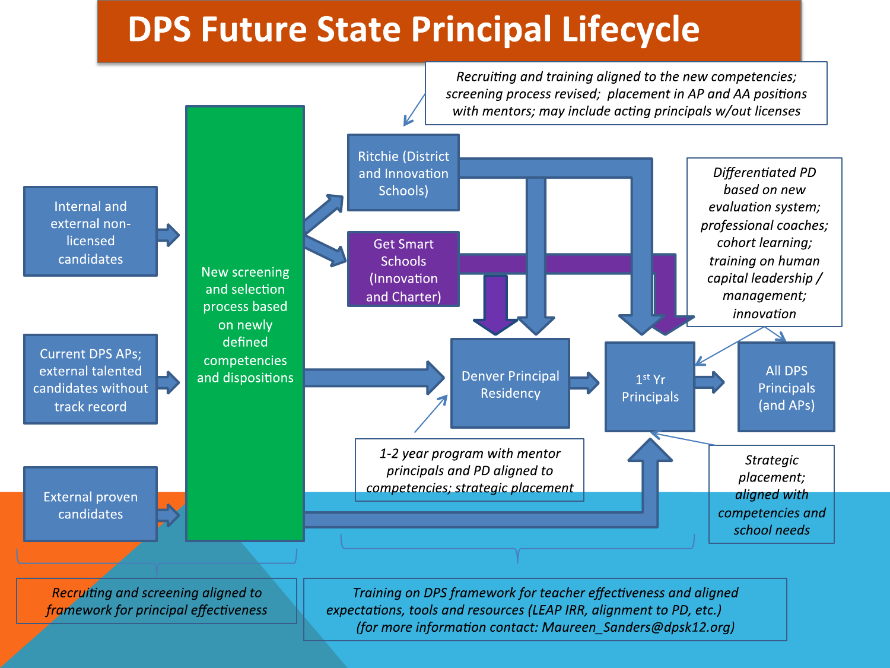#### **DPS Future State Principal Lifecycle**

Recruiting and training aligned to the new competencies; screening process revised; placement in AP and AA positions with mentors; may include acting principals w/out licenses

external nonlicensed

external talented candidates without track record



Recruiting and screening aligned to framework for principal effectiveness

Training on DPS framework for teacher effectiveness and aligned expectations, tools and resources (LEAP IRR, alignment to PD, etc.) (for more information contact: Maureen Sanders@dpsk12.org)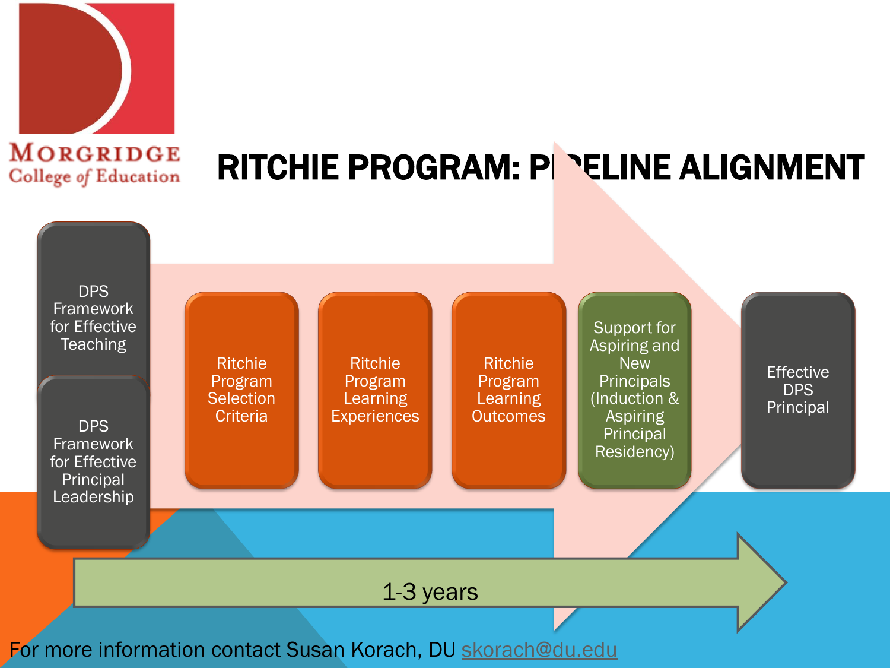

# RITCHIE PROGRAM: PIPELINE ALIGNMENT

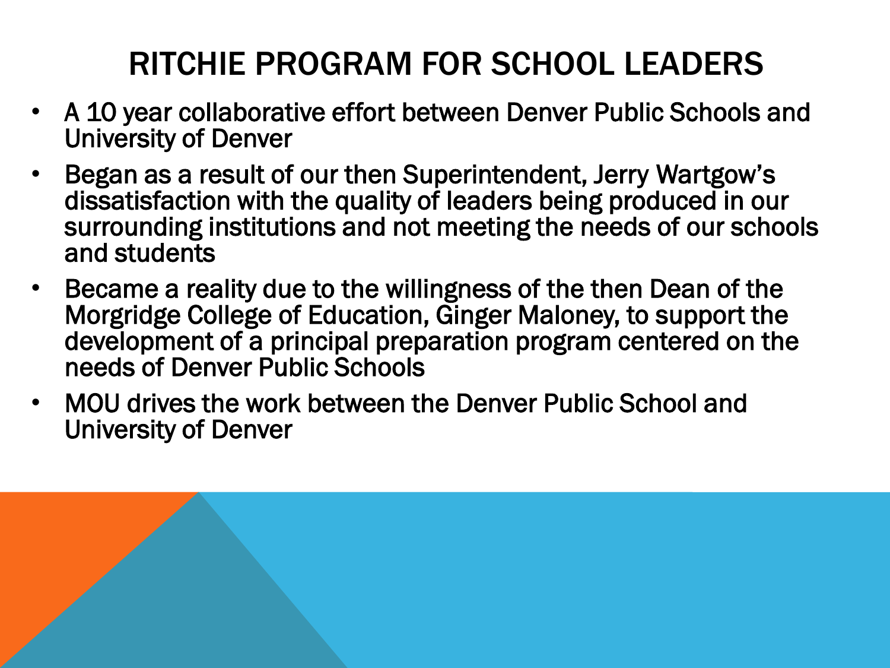## RITCHIE PROGRAM FOR SCHOOL LEADERS

- A 10 year collaborative effort between Denver Public Schools and University of Denver
- Began as a result of our then Superintendent, Jerry Wartgow's dissatisfaction with the quality of leaders being produced in our surrounding institutions and not meeting the needs of our schools and students
- Became a reality due to the willingness of the then Dean of the Morgridge College of Education, Ginger Maloney, to support the development of a principal preparation program centered on the needs of Denver Public Schools
- MOU drives the work between the Denver Public School and University of Denver

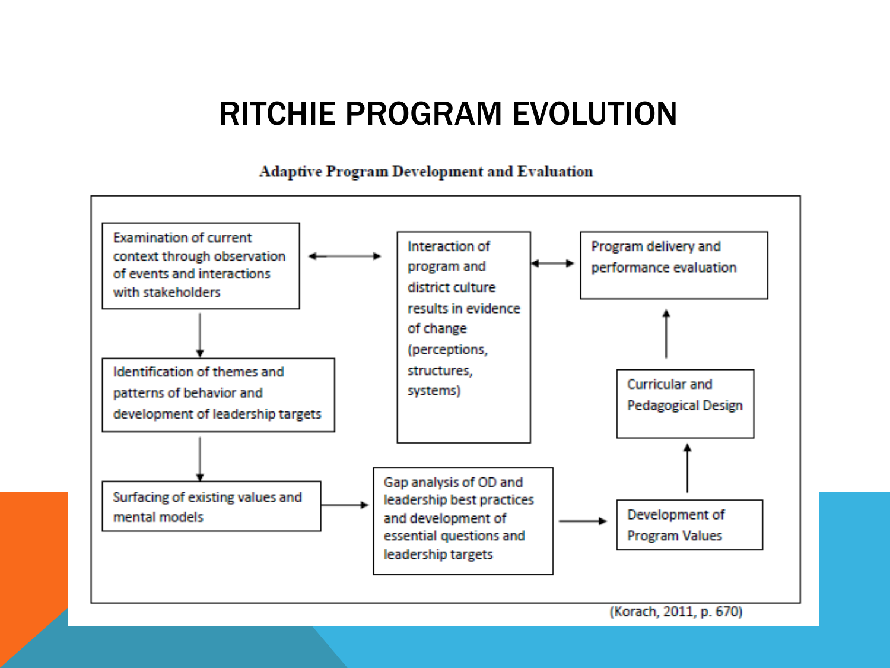#### RITCHIE PROGRAM EVOLUTION

**Adaptive Program Development and Evaluation** 

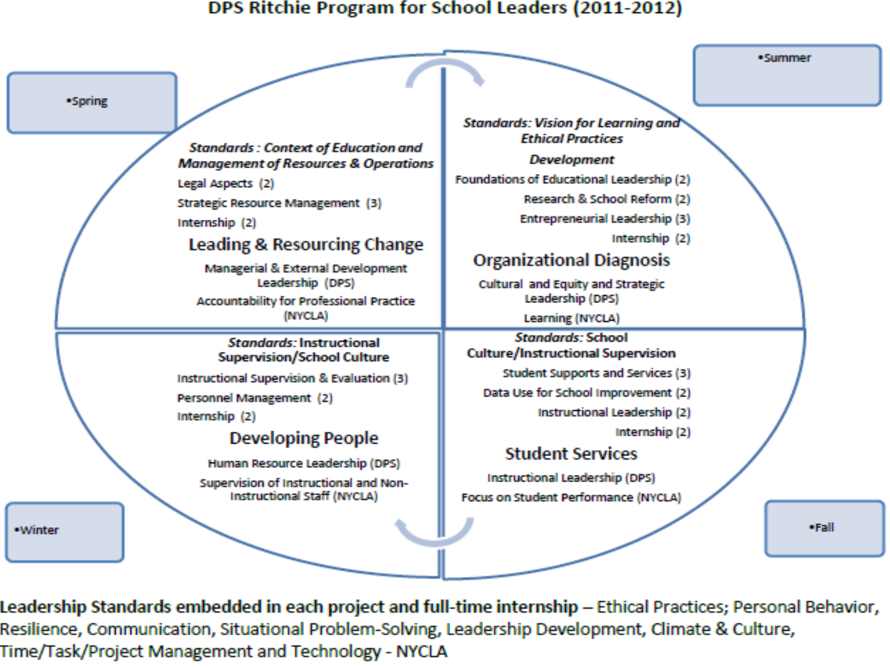#### DPS Ritchie Program for School Leaders (2011-2012)



Leadership Standards embedded in each project and full-time internship – Ethical Practices; Personal Behavior, Resilience, Communication, Situational Problem-Solving, Leadership Development, Climate & Culture, Time/Task/Project Management and Technology - NYCLA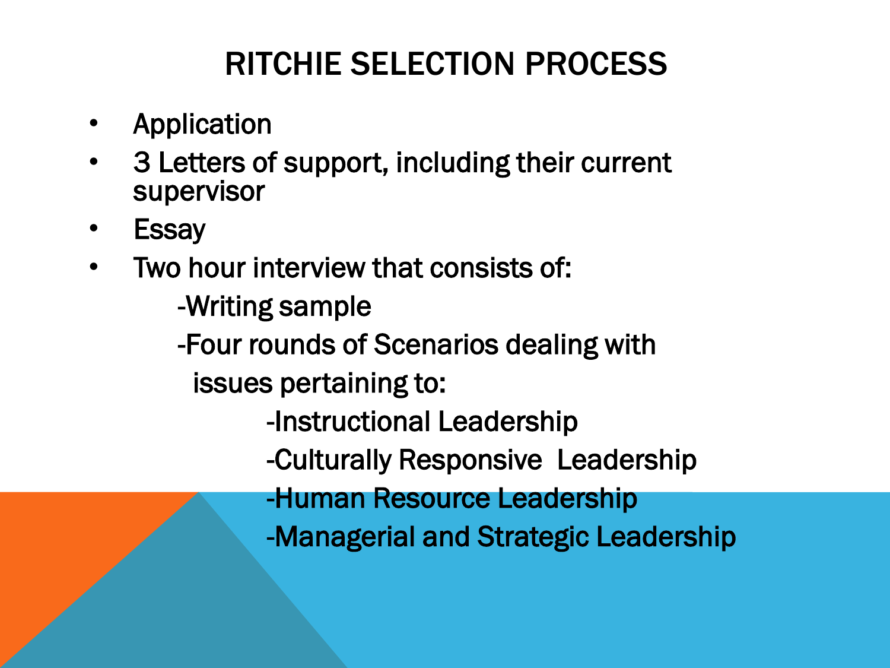## RITCHIE SELECTION PROCESS

- **Application**
- 3 Letters of support, including their current supervisor
- **Essay**
- Two hour interview that consists of:
	- -Writing sample
	- -Four rounds of Scenarios dealing with
		- issues pertaining to:
			- -Instructional Leadership
			- -Culturally Responsive Leadership
			- -Human Resource Leadership
			- -Managerial and Strategic Leadership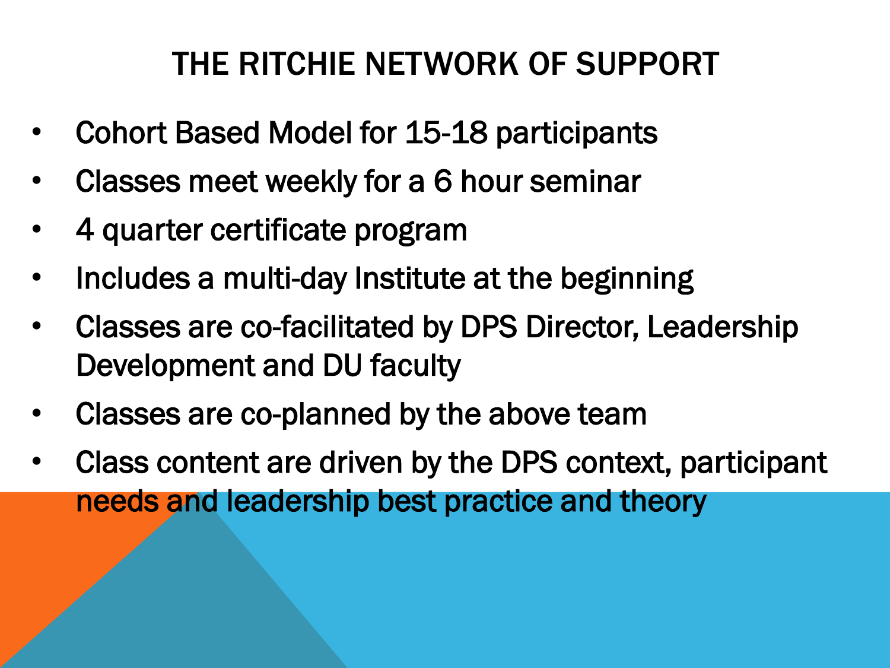#### THE RITCHIE NETWORK OF SUPPORT

- Cohort Based Model for 15-18 participants
- Classes meet weekly for a 6 hour seminar
- 4 quarter certificate program
- Includes a multi-day Institute at the beginning
- Classes are co-facilitated by DPS Director, Leadership Development and DU faculty
- Classes are co-planned by the above team
- Class content are driven by the DPS context, participant needs and leadership best practice and theory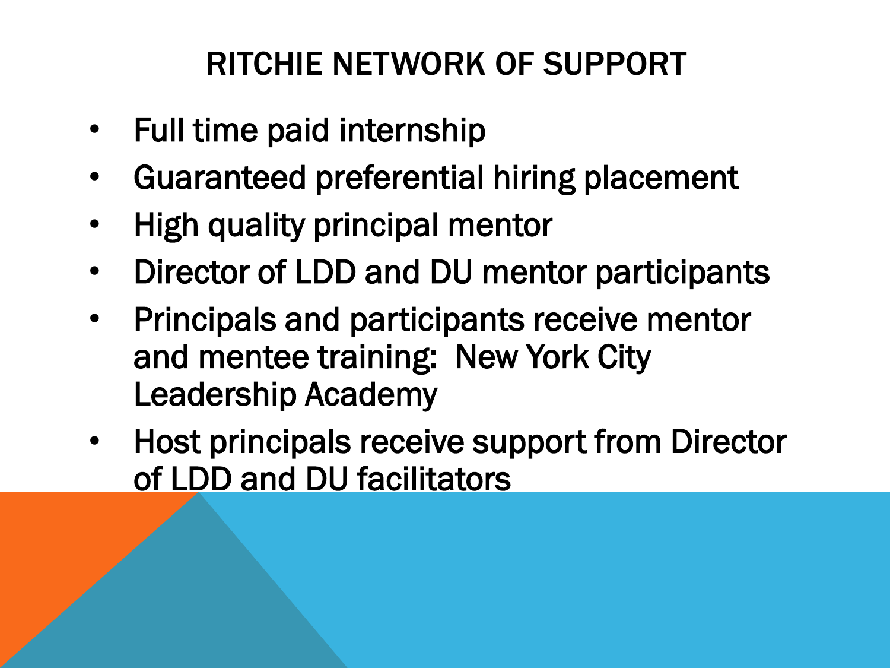#### RITCHIE NETWORK OF SUPPORT

- Full time paid internship
- Guaranteed preferential hiring placement
- High quality principal mentor
- Director of LDD and DU mentor participants
- Principals and participants receive mentor and mentee training: New York City Leadership Academy
- Host principals receive support from Director of LDD and DU facilitators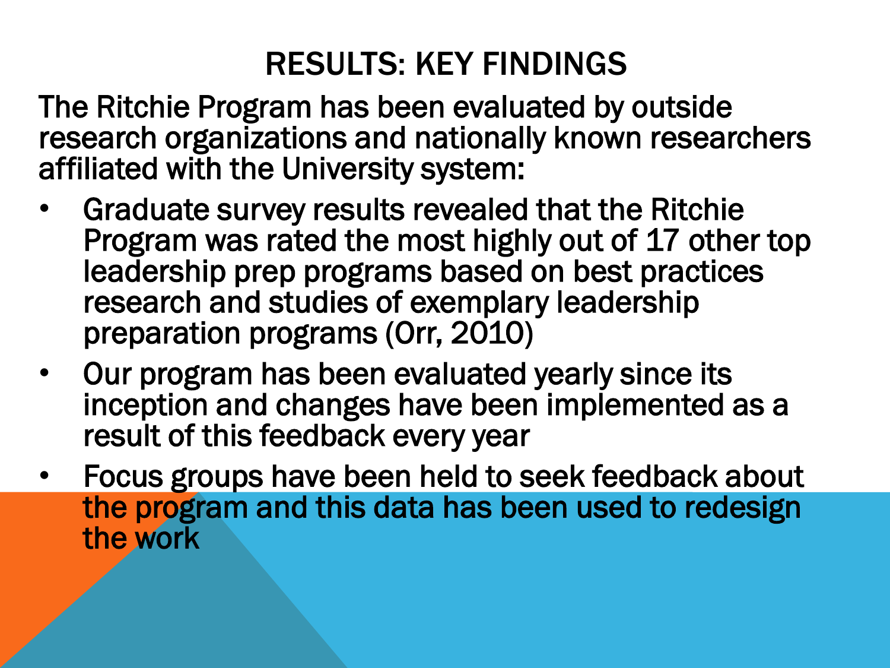#### RESULTS: KEY FINDINGS

The Ritchie Program has been evaluated by outside research organizations and nationally known researchers affiliated with the University system:

- Graduate survey results revealed that the Ritchie Program was rated the most highly out of 17 other top leadership prep programs based on best practices research and studies of exemplary leadership preparation programs (Orr, 2010)
- Our program has been evaluated yearly since its inception and changes have been implemented as a result of this feedback every year
- Focus groups have been held to seek feedback about the program and this data has been used to redesign the work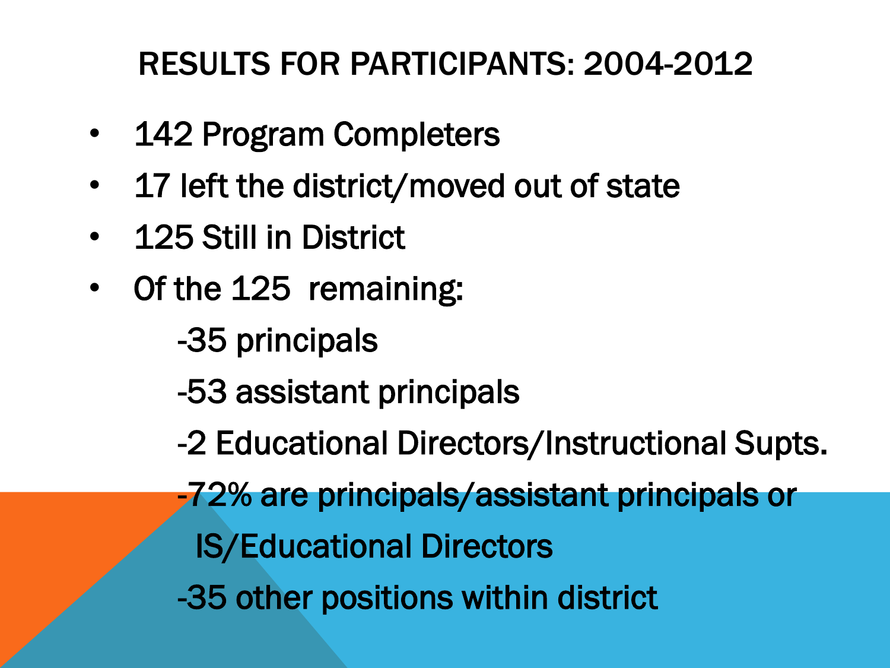#### RESULTS FOR PARTICIPANTS: 2004-2012

- 142 Program Completers
- 17 left the district/moved out of state
- 125 Still in District
- Of the 125 remaining:
	- -35 principals
	- -53 assistant principals
	- -2 Educational Directors/Instructional Supts.
	- -72% are principals/assistant principals or
		- IS/Educational Directors
	- -35 other positions within district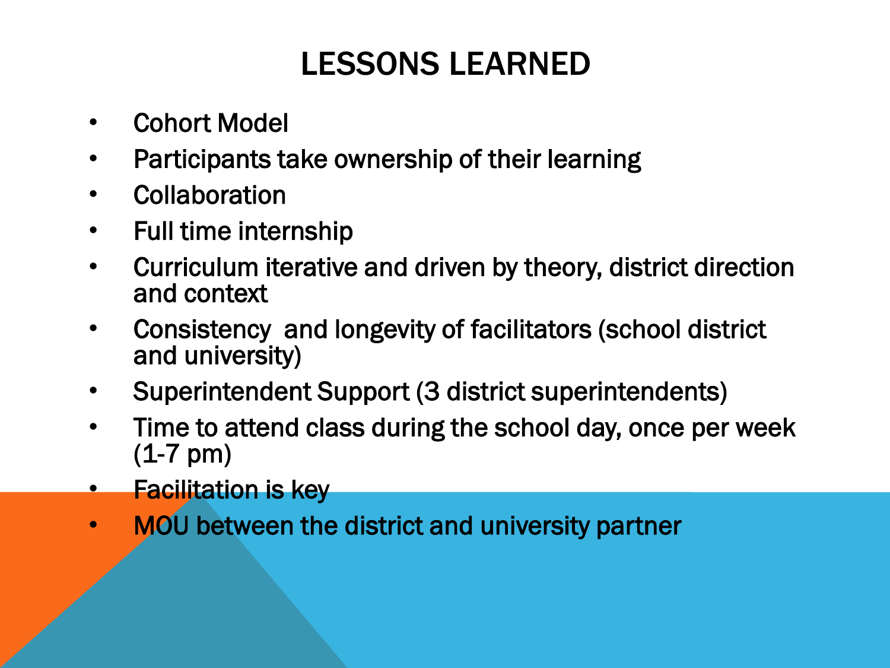#### LESSONS LEARNED

- Cohort Model
- Participants take ownership of their learning
- Collaboration
- Full time internship
- Curriculum iterative and driven by theory, district direction and context
- Consistency and longevity of facilitators (school district and university)
- Superintendent Support (3 district superintendents)
- Time to attend class during the school day, once per week (1-7 pm)
- Facilitation is key
- MOU between the district and university partner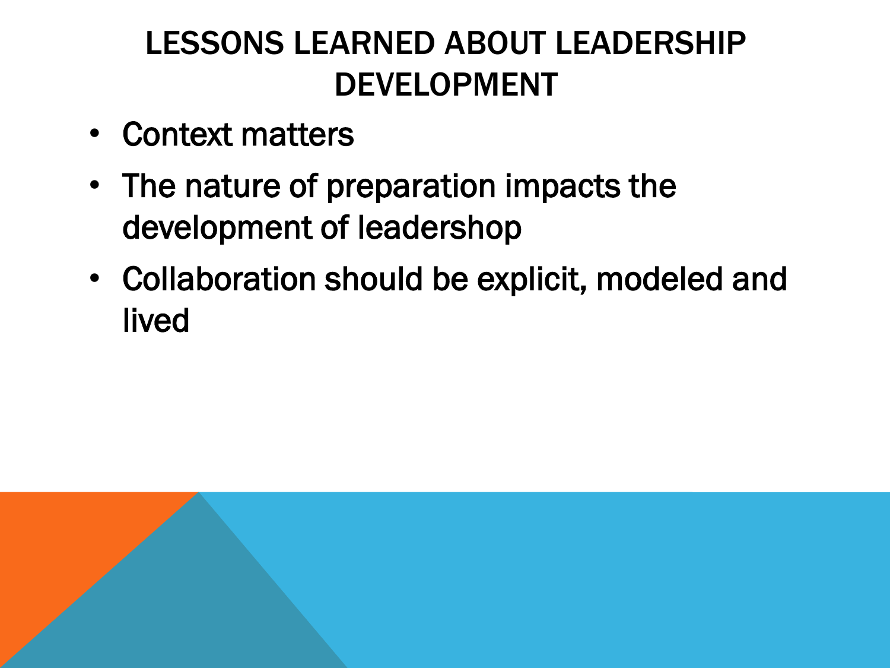#### LESSONS LEARNED ABOUT LEADERSHIP DEVELOPMENT

- Context matters
- The nature of preparation impacts the development of leadershop
- Collaboration should be explicit, modeled and lived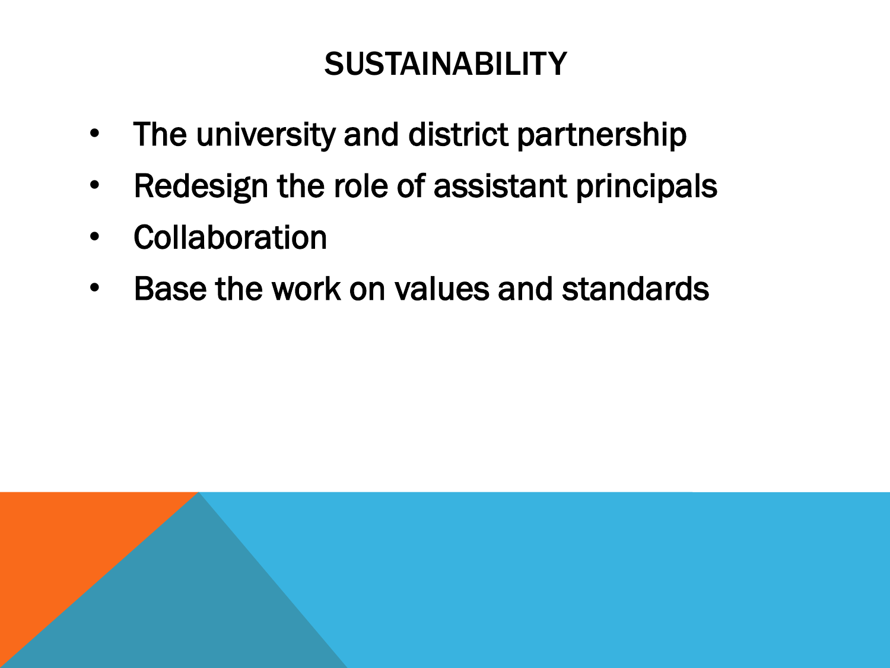#### **SUSTAINABILITY**

- The university and district partnership
- Redesign the role of assistant principals
- Collaboration
- Base the work on values and standards